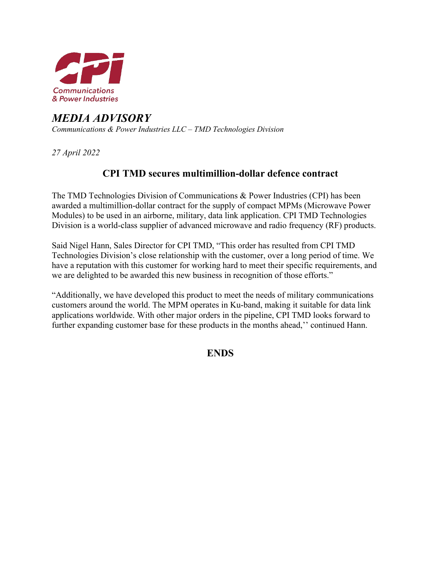

# *MEDIA ADVISORY Communications & Power Industries LLC – TMD Technologies Division*

*27 April 2022*

# **CPI TMD secures multimillion-dollar defence contract**

The TMD Technologies Division of Communications & Power Industries (CPI) has been awarded a multimillion-dollar contract for the supply of compact MPMs (Microwave Power Modules) to be used in an airborne, military, data link application. CPI TMD Technologies Division is a world-class supplier of advanced microwave and radio frequency (RF) products.

Said Nigel Hann, Sales Director for CPI TMD, "This order has resulted from CPI TMD Technologies Division's close relationship with the customer, over a long period of time. We have a reputation with this customer for working hard to meet their specific requirements, and we are delighted to be awarded this new business in recognition of those efforts."

"Additionally, we have developed this product to meet the needs of military communications customers around the world. The MPM operates in Ku-band, making it suitable for data link applications worldwide. With other major orders in the pipeline, CPI TMD looks forward to further expanding customer base for these products in the months ahead," continued Hann.

**ENDS**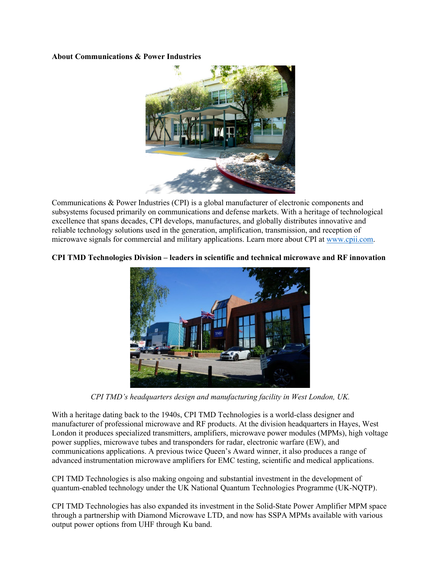#### **About Communications & Power Industries**



Communications & Power Industries (CPI) is a global manufacturer of electronic components and subsystems focused primarily on communications and defense markets. With a heritage of technological excellence that spans decades, CPI develops, manufactures, and globally distributes innovative and reliable technology solutions used in the generation, amplification, transmission, and reception of microwave signals for commercial and military applications. Learn more about CPI at [www.cpii.com.](http://www.cpii.com/) 

### **CPI TMD Technologies Division – leaders in scientific and technical microwave and RF innovation**



*CPI TMD's headquarters design and manufacturing facility in West London, UK.* 

With a heritage dating back to the 1940s, CPI TMD Technologies is a world-class designer and manufacturer of professional microwave and RF products. At the division headquarters in Hayes, West London it produces specialized transmitters, amplifiers, microwave power modules (MPMs), high voltage power supplies, microwave tubes and transponders for radar, electronic warfare (EW), and communications applications. A previous twice Queen's Award winner, it also produces a range of advanced instrumentation microwave amplifiers for EMC testing, scientific and medical applications.

CPI TMD Technologies is also making ongoing and substantial investment in the development of quantum-enabled technology under the UK National Quantum Technologies Programme (UK-NQTP).

CPI TMD Technologies has also expanded its investment in the Solid-State Power Amplifier MPM space through a partnership with Diamond Microwave LTD, and now has SSPA MPMs available with various output power options from UHF through Ku band.